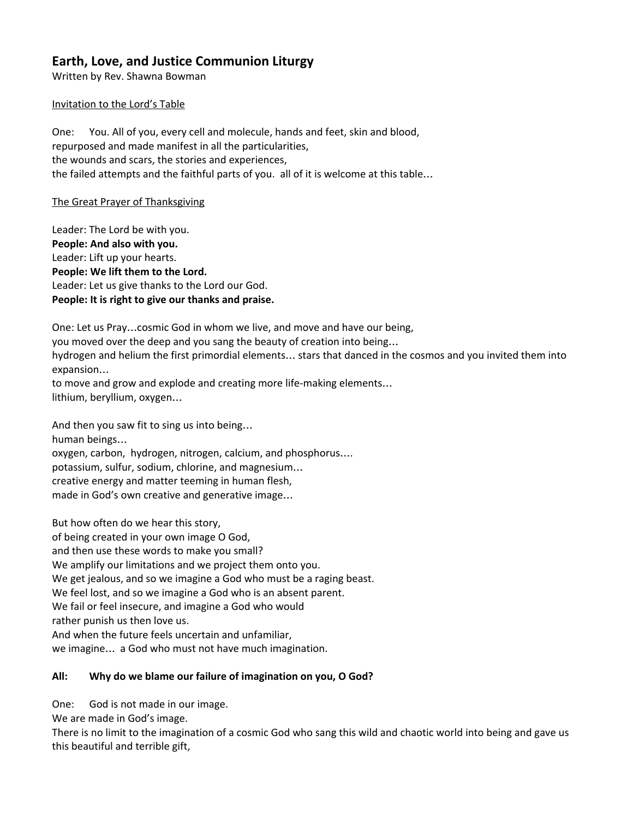# **Earth, Love, and Justice Communion Liturgy**

Written by Rev. Shawna Bowman

#### Invitation to the Lord's Table

One: You. All of you, every cell and molecule, hands and feet, skin and blood, repurposed and made manifest in all the particularities, the wounds and scars, the stories and experiences, the failed attempts and the faithful parts of you. all of it is welcome at this table…

The Great Prayer of Thanksgiving

Leader: The Lord be with you. **People: And also with you.** Leader: Lift up your hearts. **People: We lift them to the Lord.** Leader: Let us give thanks to the Lord our God. **People: It is right to give our thanks and praise.**

One: Let us Pray…cosmic God in whom we live, and move and have our being, you moved over the deep and you sang the beauty of creation into being… hydrogen and helium the first primordial elements… stars that danced in the cosmos and you invited them into expansion… to move and grow and explode and creating more life-making elements…

lithium, beryllium, oxygen…

And then you saw fit to sing us into being… human beings… oxygen, carbon, hydrogen, nitrogen, calcium, and phosphorus…. potassium, sulfur, sodium, chlorine, and magnesium… creative energy and matter teeming in human flesh, made in God's own creative and generative image…

But how often do we hear this story, of being created in your own image O God, and then use these words to make you small? We amplify our limitations and we project them onto you. We get jealous, and so we imagine a God who must be a raging beast. We feel lost, and so we imagine a God who is an absent parent. We fail or feel insecure, and imagine a God who would rather punish us then love us. And when the future feels uncertain and unfamiliar, we imagine… a God who must not have much imagination.

## **All: Why do we blame our failure of imagination on you, O God?**

One: God is not made in our image.

We are made in God's image.

There is no limit to the imagination of a cosmic God who sang this wild and chaotic world into being and gave us this beautiful and terrible gift,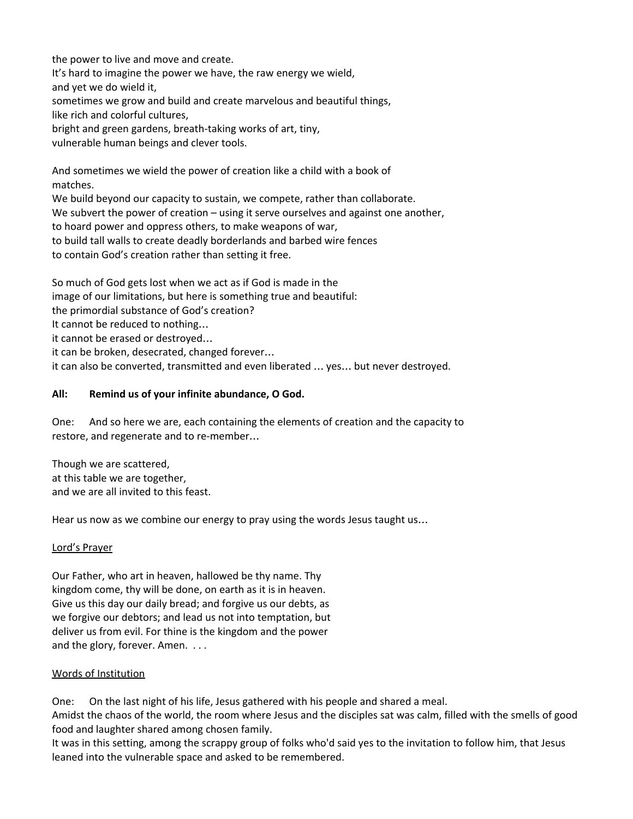the power to live and move and create.

It's hard to imagine the power we have, the raw energy we wield,

and yet we do wield it,

sometimes we grow and build and create marvelous and beautiful things,

like rich and colorful cultures,

bright and green gardens, breath-taking works of art, tiny,

vulnerable human beings and clever tools.

And sometimes we wield the power of creation like a child with a book of matches.

We build beyond our capacity to sustain, we compete, rather than collaborate.

We subvert the power of creation – using it serve ourselves and against one another,

to hoard power and oppress others, to make weapons of war,

to build tall walls to create deadly borderlands and barbed wire fences

to contain God's creation rather than setting it free.

So much of God gets lost when we act as if God is made in the image of our limitations, but here is something true and beautiful: the primordial substance of God's creation? It cannot be reduced to nothing… it cannot be erased or destroyed… it can be broken, desecrated, changed forever… it can also be converted, transmitted and even liberated … yes… but never destroyed.

## **All: Remind us of your infinite abundance, O God.**

One: And so here we are, each containing the elements of creation and the capacity to restore, and regenerate and to re-member…

Though we are scattered, at this table we are together, and we are all invited to this feast.

Hear us now as we combine our energy to pray using the words Jesus taught us…

### Lord's Prayer

Our Father, who art in heaven, hallowed be thy name. Thy kingdom come, thy will be done, on earth as it is in heaven. Give us this day our daily bread; and forgive us our debts, as we forgive our debtors; and lead us not into temptation, but deliver us from evil. For thine is the kingdom and the power and the glory, forever. Amen. . . .

## Words of Institution

One: On the last night of his life, Jesus gathered with his people and shared a meal.

Amidst the chaos of the world, the room where Jesus and the disciples sat was calm, filled with the smells of good food and laughter shared among chosen family.

It was in this setting, among the scrappy group of folks who'd said yes to the invitation to follow him, that Jesus leaned into the vulnerable space and asked to be remembered.